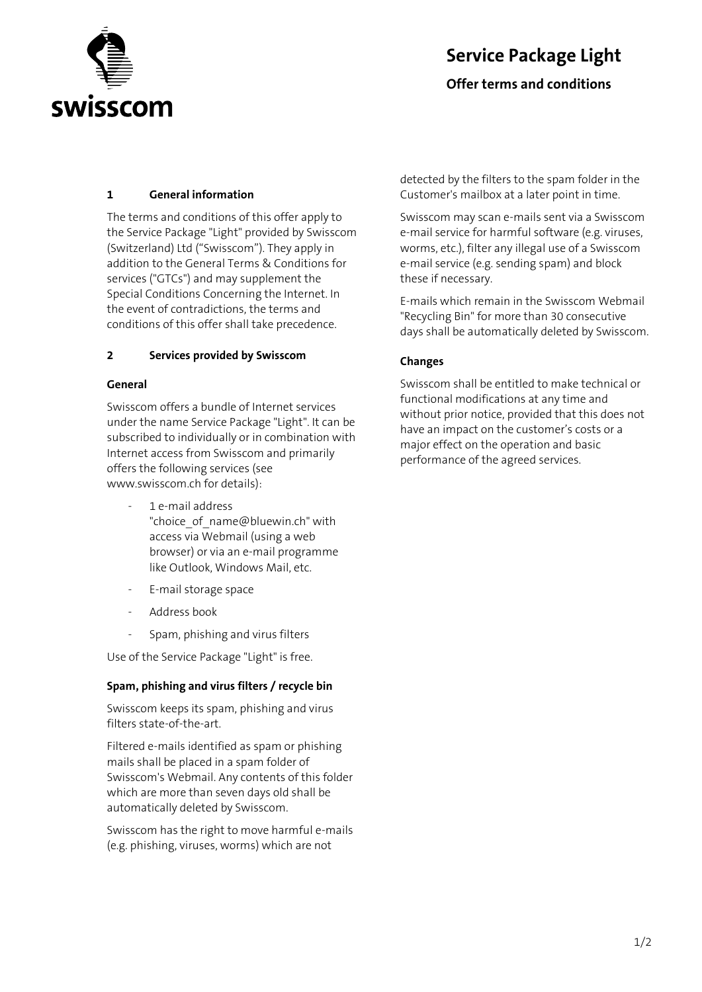

# **Service Package Light**

**Offer terms and conditions** 

## **1 General information**

The terms and conditions of this offer apply to the Service Package "Light" provided by Swisscom (Switzerland) Ltd ("Swisscom"). They apply in addition to the General Terms & Conditions for services ("GTCs") and may supplement the Special Conditions Concerning the Internet. In the event of contradictions, the terms and conditions of this offer shall take precedence.

### **2 Services provided by Swisscom**

### **General**

Swisscom offers a bundle of Internet services under the name Service Package "Light". It can be subscribed to individually or in combination with Internet access from Swisscom and primarily offers the following services (see www.swisscom.ch for details):

- 1 e-mail address "choice of name@bluewin.ch" with access via Webmail (using a web browser) or via an e-mail programme like Outlook, Windows Mail, etc.
- E-mail storage space
- Address book
- Spam, phishing and virus filters

Use of the Service Package "Light" is free.

### **Spam, phishing and virus filters / recycle bin**

Swisscom keeps its spam, phishing and virus filters state-of-the-art.

Filtered e-mails identified as spam or phishing mails shall be placed in a spam folder of Swisscom's Webmail. Any contents of this folder which are more than seven days old shall be automatically deleted by Swisscom.

Swisscom has the right to move harmful e-mails (e.g. phishing, viruses, worms) which are not

detected by the filters to the spam folder in the Customer's mailbox at a later point in time.

Swisscom may scan e-mails sent via a Swisscom e-mail service for harmful software (e.g. viruses, worms, etc.), filter any illegal use of a Swisscom e-mail service (e.g. sending spam) and block these if necessary.

E-mails which remain in the Swisscom Webmail "Recycling Bin" for more than 30 consecutive days shall be automatically deleted by Swisscom.

## **Changes**

Swisscom shall be entitled to make technical or functional modifications at any time and without prior notice, provided that this does not have an impact on the customer's costs or a major effect on the operation and basic performance of the agreed services.